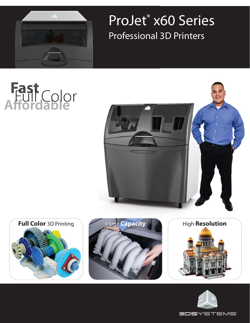

**Fast**

**Aff ordable** Full Color

# ProJet® x60 Series Professional 3D Printers









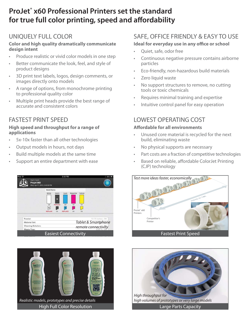## **ProJet® x60 Professional Printers set the standard** for true full color printing, speed and affordability

## UNIQUELY FULL COLOR

#### **Color and high quality dramatically communicate design intent**

- Produce realistic or vivid color models in one step
- Better communicate the look, feel, and style of product designs
- 3D print text labels, logos, design comments, or images directly onto models
- A range of options, from monochrome printing to professional quality color
- Multiple print heads provide the best range of accurate and consistent colors

## FASTEST PRINT SPEED

#### **High speed and throughput for a range of applications**

- 5x-10x faster than all other technologies
- Output models in hours, not days
- Build multiple models at the same time
- Support an entire department with ease





## SAFE, OFFICE FRIENDLY & EASY TO USE

#### **Ideal for everyday use in any office or school**

- Quiet, safe, odor free
- Continuous negative pressure contains airborne particles
- Eco-friendly, non-hazardous build materials
- Zero liquid waste
- No support structures to remove, no cutting tools or toxic chemicals
- Requires minimal training and expertise
- Intuitive control panel for easy operation

## LOWEST OPERATING COST

#### **Aff ordable for all environments**

- Unused core material is recycled for the next build, eliminating waste
- No physical supports are necessary
- Part costs are a fraction of competitive technologies
- Based on reliable, affordable ColorJet Printing (CJP) technology



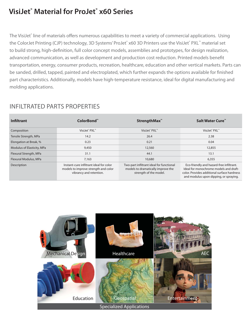# **® Material for ProJet® x60 Series**

The VisiJet® line of materials offers numerous capabilities to meet a variety of commercial applications. Using the ColorJet Printing (CJP) technology, 3D Systems′ ProJet˚ x60 3D Printers use the VisiJet˚ PXL™ material set to build strong, high-definition, full color concept models, assemblies and prototypes, for design realization, advanced communication, as well as development and production cost reduction. Printed models benefit transportation, energy, consumer products, recreation, healthcare, education and other vertical markets. Parts can be sanded, drilled, tapped, painted and electroplated, which further expands the options available for finished part characteristics. Additionally, models have high-temperature resistance, ideal for digital manufacturing and molding applications.

### INFILTRATED PARTS PROPERTIES

| <b>Infiltrant</b>          | ColorBond"                                                                                                 | StrengthMax <sup>"</sup>                                                                                 | Salt Water Cure                                                                                                                                                             |  |
|----------------------------|------------------------------------------------------------------------------------------------------------|----------------------------------------------------------------------------------------------------------|-----------------------------------------------------------------------------------------------------------------------------------------------------------------------------|--|
| Composition                | VisiJet® PXL™                                                                                              | VisiJet® PXL™                                                                                            | VisiJet® PXL™                                                                                                                                                               |  |
| Tensile Strength, MPa      | 14.2                                                                                                       | 26.4                                                                                                     | 2.38                                                                                                                                                                        |  |
| Elongation at Break, %     | 0.23                                                                                                       | 0.21                                                                                                     | 0.04                                                                                                                                                                        |  |
| Modulus of Elasticity, MPa | 9,450                                                                                                      | 12,560                                                                                                   | 12,855                                                                                                                                                                      |  |
| Flexural Strength, MPa     | 31.1                                                                                                       | 44.1                                                                                                     | 13.1                                                                                                                                                                        |  |
| Flexural Modulus, MPa      | 7,163                                                                                                      | 10,680                                                                                                   | 6,355                                                                                                                                                                       |  |
| Description                | Instant-cure infiltrant ideal for color<br>models to improve strength and color<br>vibrancy and retention. | Two-part infiltrant ideal for functional<br>models to dramatically improve the<br>strength of the model. | Eco-friendly and hazard-free infiltrant.<br>Ideal for monochrome models and draft-<br>color. Provides additional surface hardness<br>and modulus upon dipping, or spraying. |  |